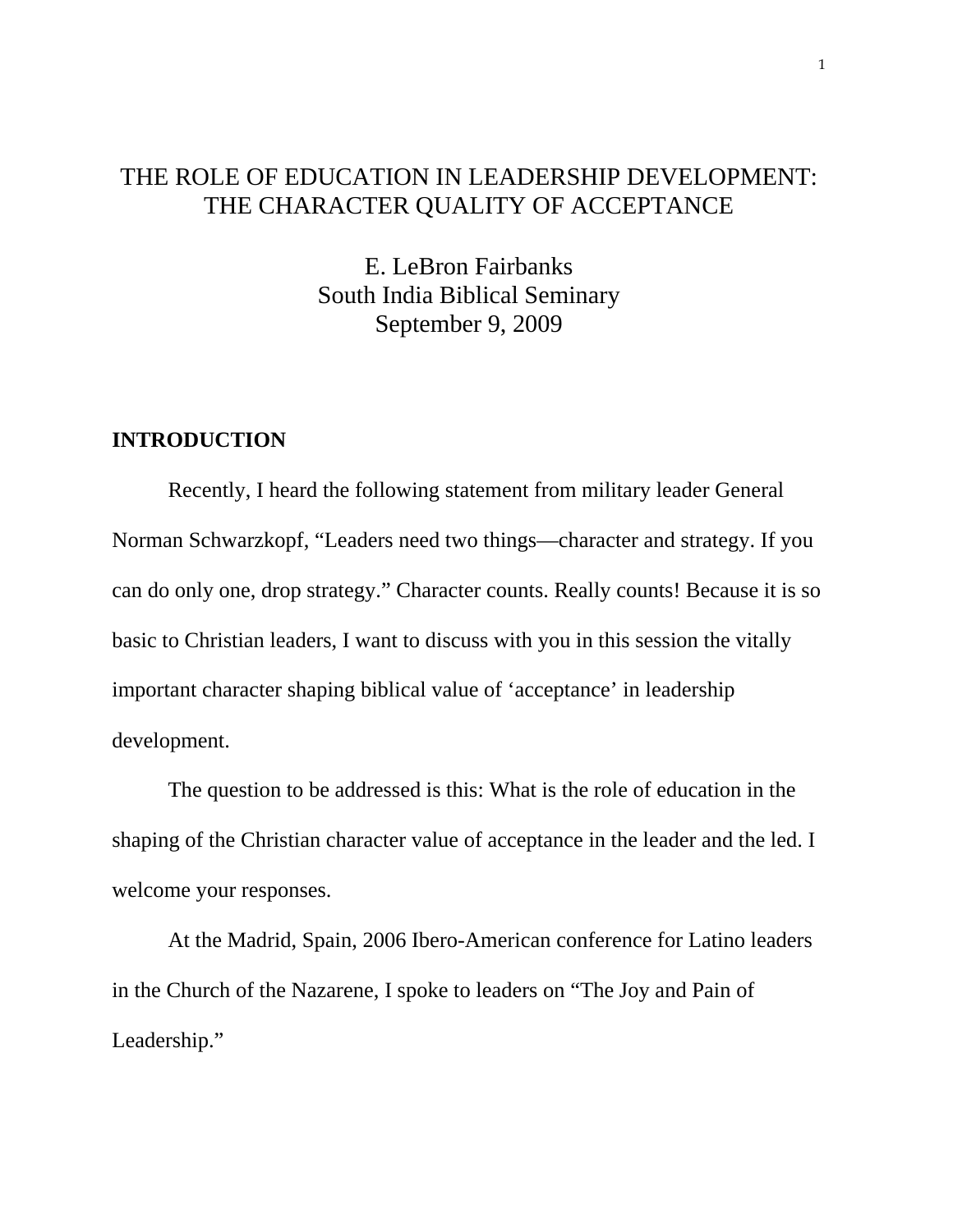## THE ROLE OF EDUCATION IN LEADERSHIP DEVELOPMENT: THE CHARACTER QUALITY OF ACCEPTANCE

E. LeBron Fairbanks South India Biblical Seminary September 9, 2009

## **INTRODUCTION**

Recently, I heard the following statement from military leader General Norman Schwarzkopf, "Leaders need two things—character and strategy. If you can do only one, drop strategy." Character counts. Really counts! Because it is so basic to Christian leaders, I want to discuss with you in this session the vitally important character shaping biblical value of 'acceptance' in leadership development.

The question to be addressed is this: What is the role of education in the shaping of the Christian character value of acceptance in the leader and the led. I welcome your responses.

 At the Madrid, Spain, 2006 Ibero-American conference for Latino leaders in the Church of the Nazarene, I spoke to leaders on "The Joy and Pain of Leadership."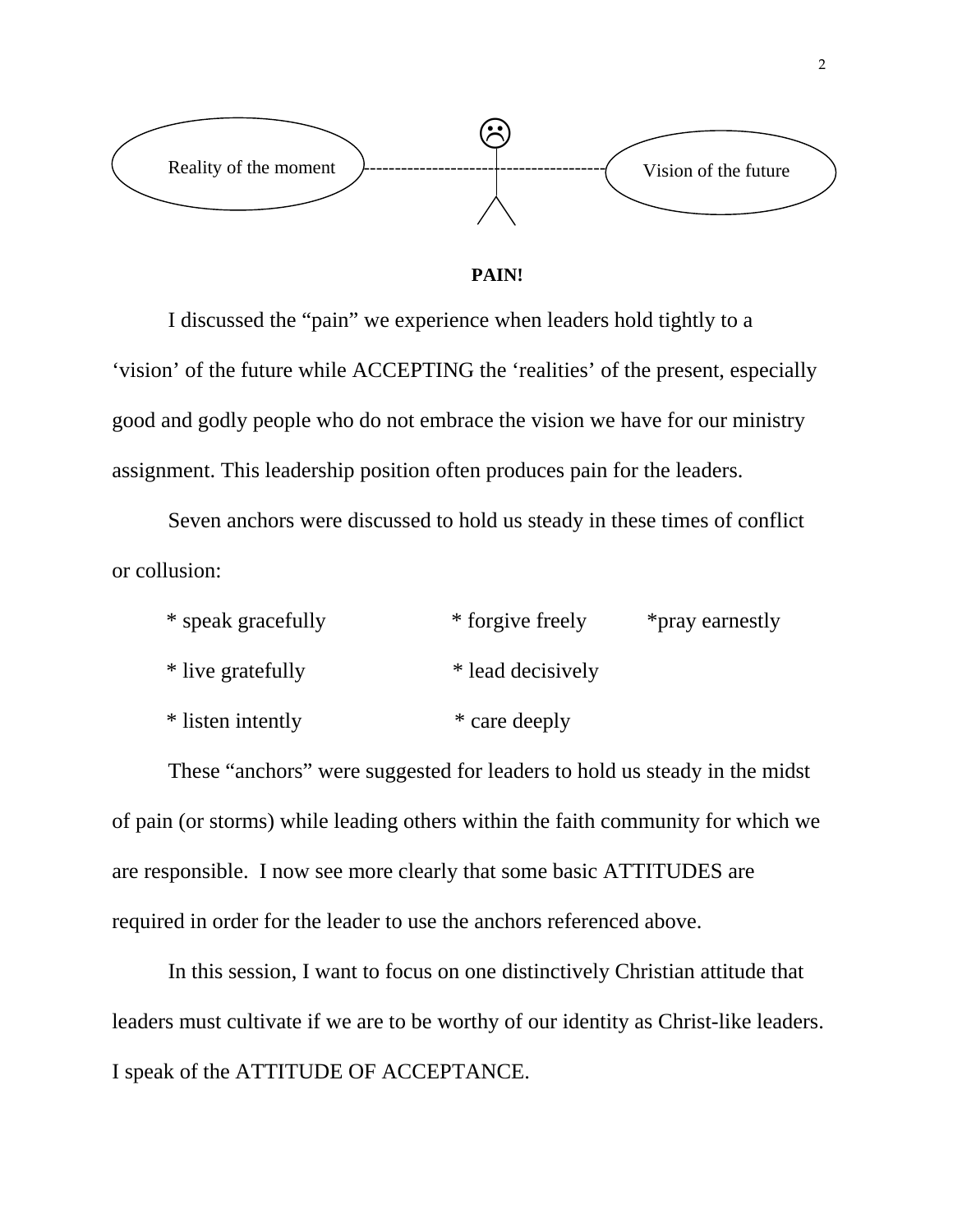



 I discussed the "pain" we experience when leaders hold tightly to a 'vision' of the future while ACCEPTING the 'realities' of the present, especially good and godly people who do not embrace the vision we have for our ministry assignment. This leadership position often produces pain for the leaders.

 Seven anchors were discussed to hold us steady in these times of conflict or collusion:

| * speak gracefully | * forgive freely  | *pray earnestly |
|--------------------|-------------------|-----------------|
| * live gratefully  | * lead decisively |                 |
| * listen intently  | * care deeply     |                 |

These "anchors" were suggested for leaders to hold us steady in the midst of pain (or storms) while leading others within the faith community for which we are responsible. I now see more clearly that some basic ATTITUDES are required in order for the leader to use the anchors referenced above.

In this session, I want to focus on one distinctively Christian attitude that leaders must cultivate if we are to be worthy of our identity as Christ-like leaders. I speak of the ATTITUDE OF ACCEPTANCE.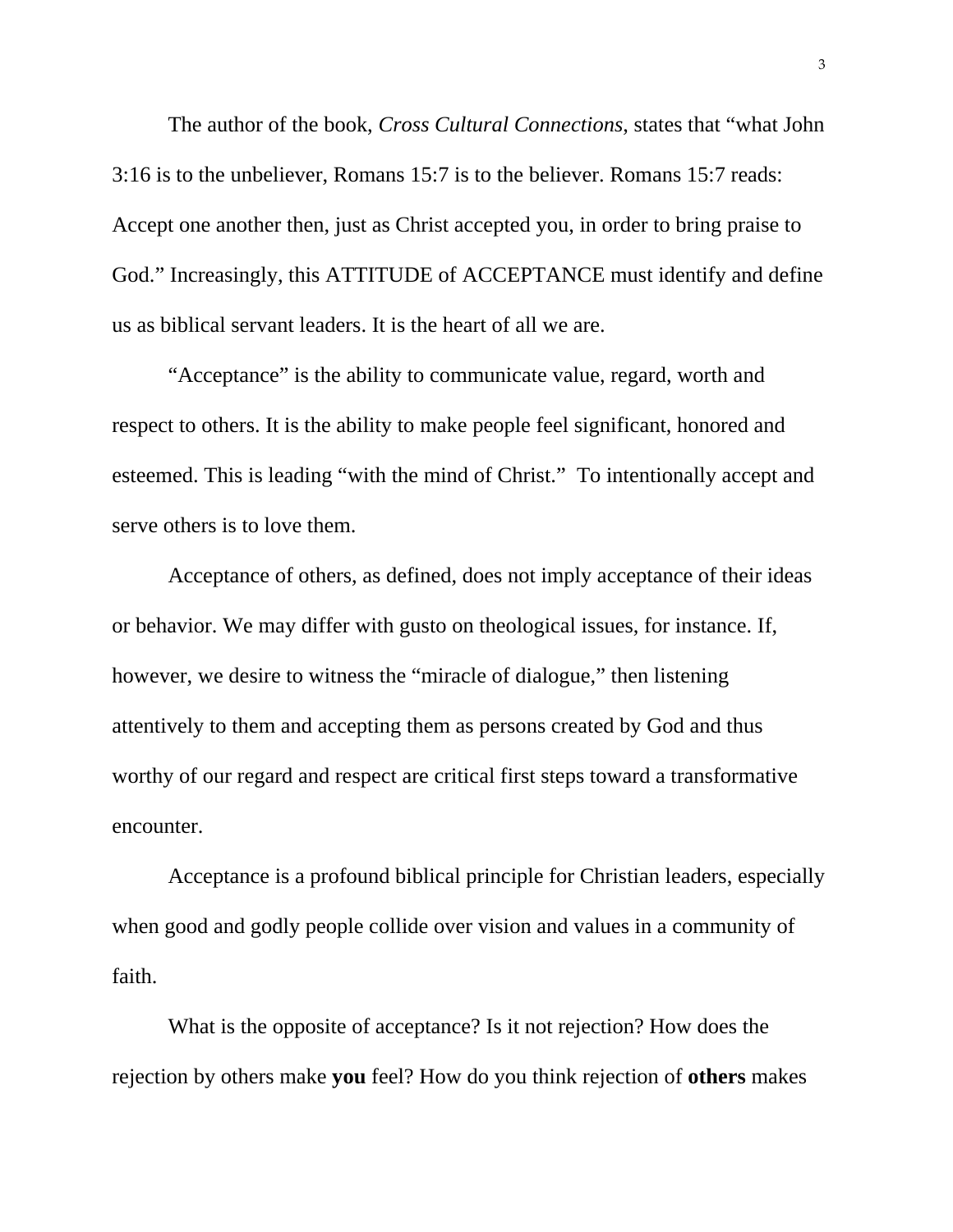The author of the book, *Cross Cultural Connections*, states that "what John 3:16 is to the unbeliever, Romans 15:7 is to the believer. Romans 15:7 reads: Accept one another then, just as Christ accepted you, in order to bring praise to God." Increasingly, this ATTITUDE of ACCEPTANCE must identify and define us as biblical servant leaders. It is the heart of all we are.

"Acceptance" is the ability to communicate value, regard, worth and respect to others. It is the ability to make people feel significant, honored and esteemed. This is leading "with the mind of Christ." To intentionally accept and serve others is to love them.

Acceptance of others, as defined, does not imply acceptance of their ideas or behavior. We may differ with gusto on theological issues, for instance. If, however, we desire to witness the "miracle of dialogue," then listening attentively to them and accepting them as persons created by God and thus worthy of our regard and respect are critical first steps toward a transformative encounter.

 Acceptance is a profound biblical principle for Christian leaders, especially when good and godly people collide over vision and values in a community of faith.

What is the opposite of acceptance? Is it not rejection? How does the rejection by others make **you** feel? How do you think rejection of **others** makes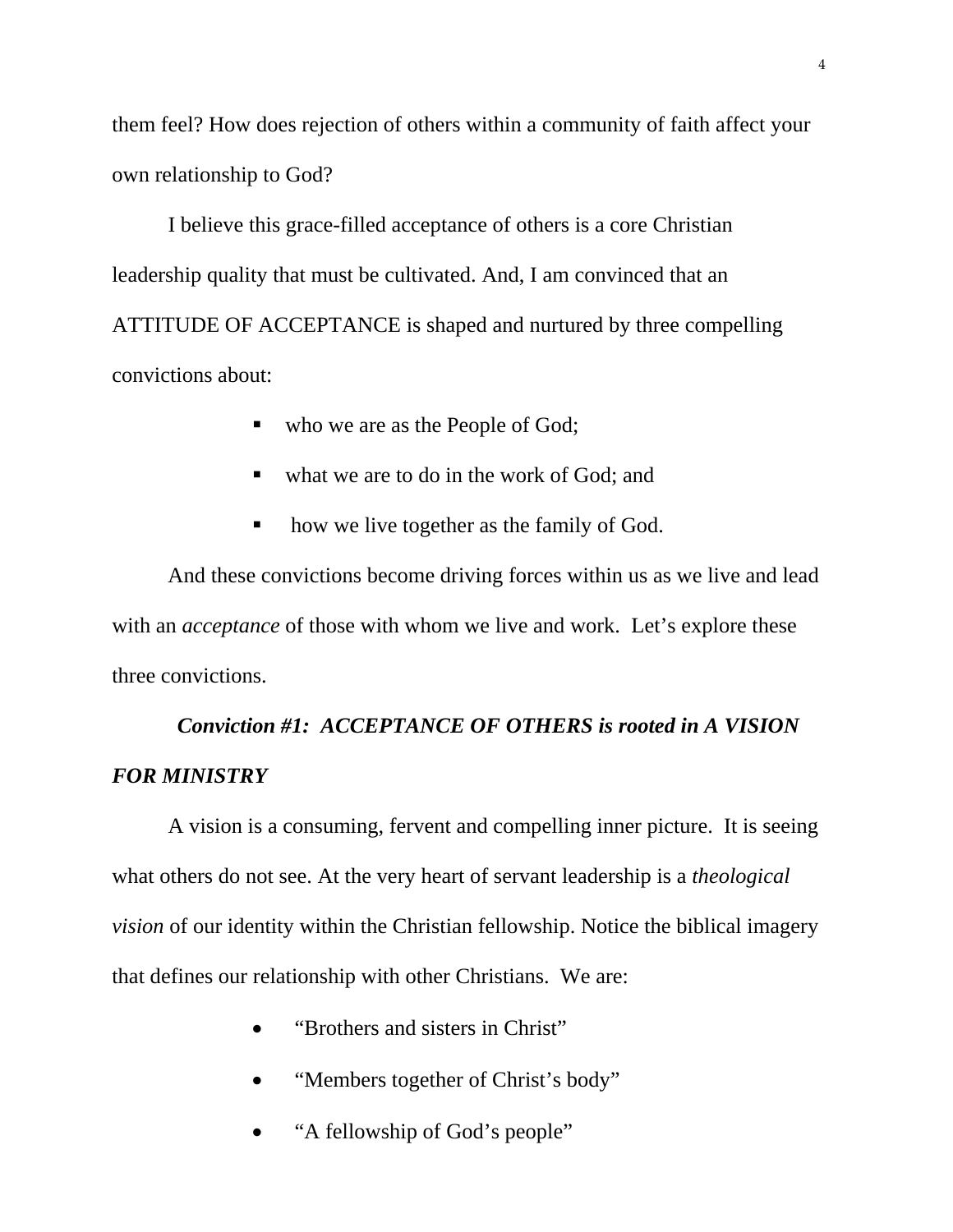them feel? How does rejection of others within a community of faith affect your own relationship to God?

I believe this grace-filled acceptance of others is a core Christian leadership quality that must be cultivated. And, I am convinced that an ATTITUDE OF ACCEPTANCE is shaped and nurtured by three compelling convictions about:

- who we are as the People of God;
- what we are to do in the work of God; and
- how we live together as the family of God.

And these convictions become driving forces within us as we live and lead with an *acceptance* of those with whom we live and work. Let's explore these three convictions.

## *Conviction #1: ACCEPTANCE OF OTHERS is rooted in A VISION FOR MINISTRY*

 A vision is a consuming, fervent and compelling inner picture. It is seeing what others do not see. At the very heart of servant leadership is a *theological vision* of our identity within the Christian fellowship. Notice the biblical imagery that defines our relationship with other Christians. We are:

- "Brothers and sisters in Christ"
- "Members together of Christ's body"
- "A fellowship of God's people"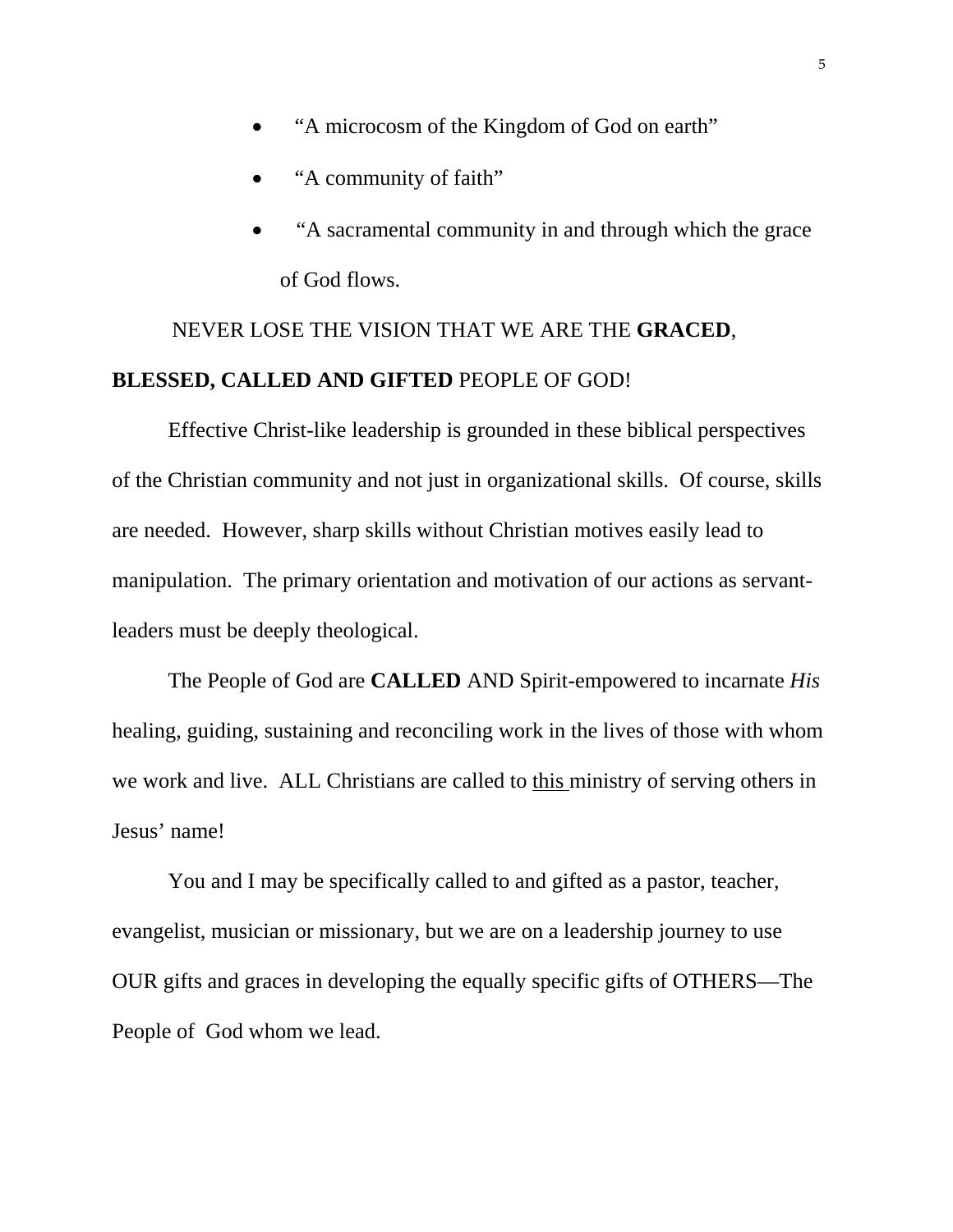- "A microcosm of the Kingdom of God on earth"
- "A community of faith"
- "A sacramental community in and through which the grace of God flows.

# NEVER LOSE THE VISION THAT WE ARE THE **GRACED**, **BLESSED, CALLED AND GIFTED** PEOPLE OF GOD!

 Effective Christ-like leadership is grounded in these biblical perspectives of the Christian community and not just in organizational skills. Of course, skills are needed. However, sharp skills without Christian motives easily lead to manipulation. The primary orientation and motivation of our actions as servantleaders must be deeply theological.

 The People of God are **CALLED** AND Spirit-empowered to incarnate *His* healing, guiding, sustaining and reconciling work in the lives of those with whom we work and live. ALL Christians are called to this ministry of serving others in Jesus' name!

 You and I may be specifically called to and gifted as a pastor, teacher, evangelist, musician or missionary, but we are on a leadership journey to use OUR gifts and graces in developing the equally specific gifts of OTHERS—The People of God whom we lead.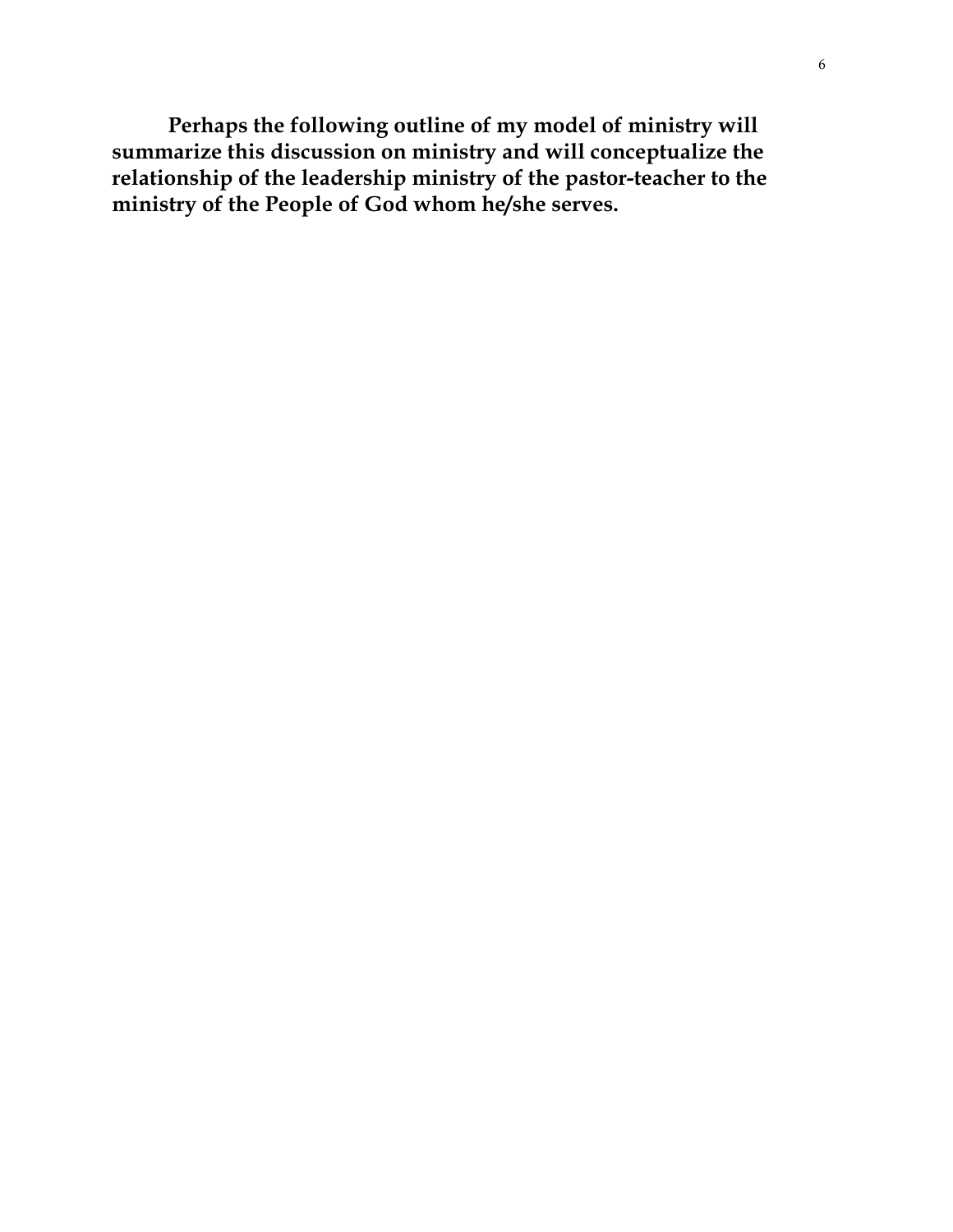**Perhaps the following outline of my model of ministry will summarize this discussion on ministry and will conceptualize the relationship of the leadership ministry of the pastor-teacher to the ministry of the People of God whom he/she serves.**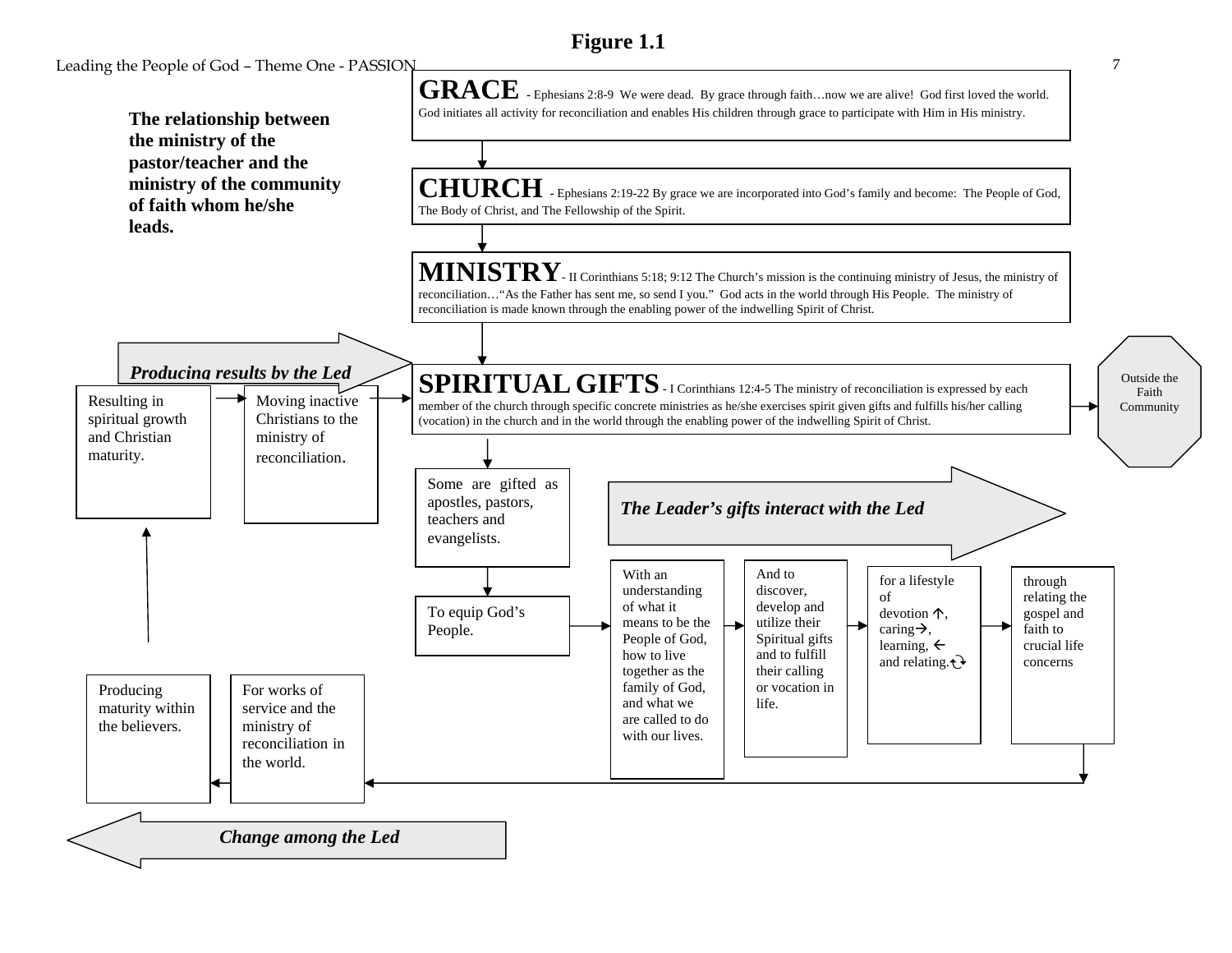## **Figure 1.1**

Leading the People of God – Theme One - PASSION 7

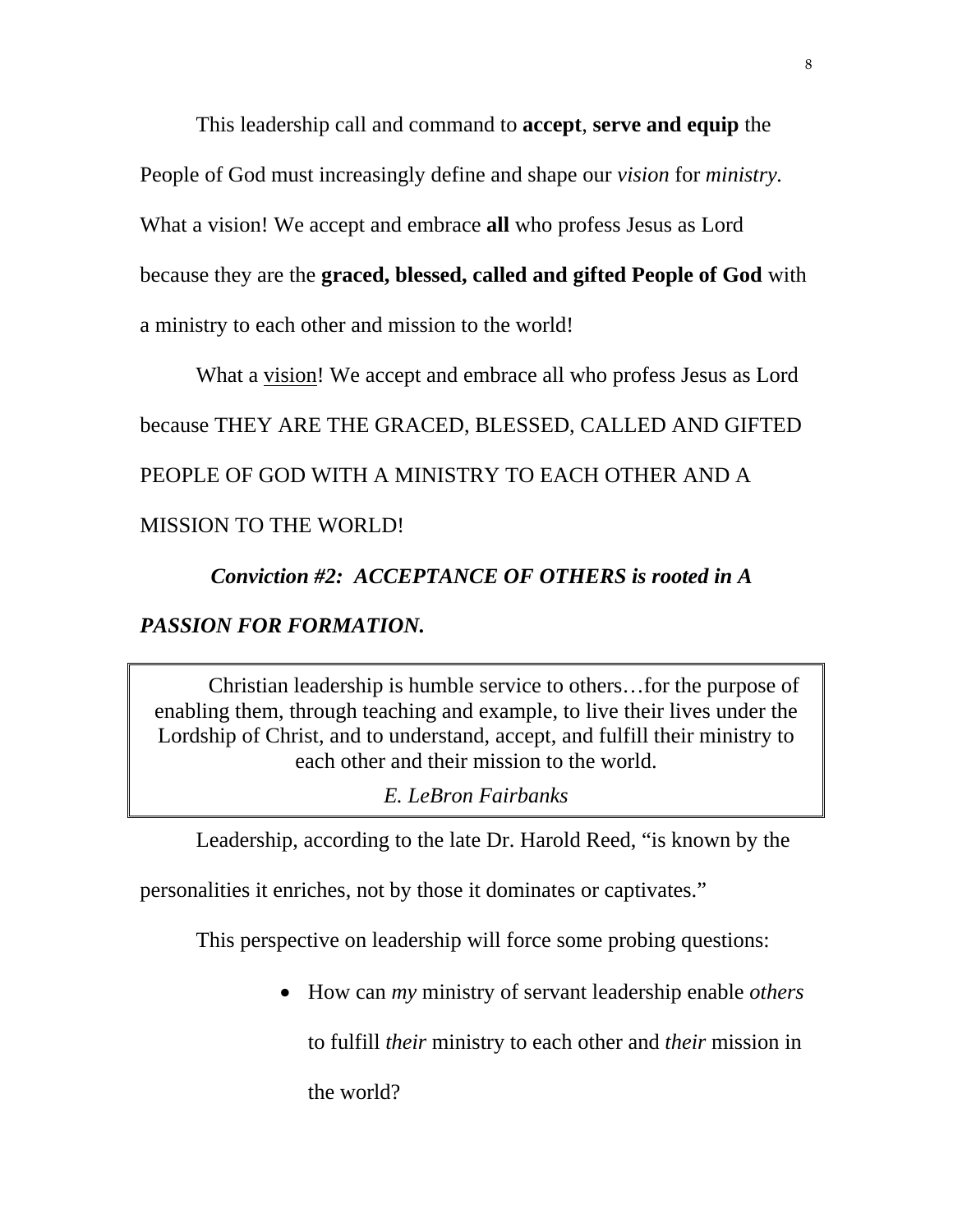This leadership call and command to **accept**, **serve and equip** the People of God must increasingly define and shape our *vision* for *ministry.* What a vision! We accept and embrace **all** who profess Jesus as Lord because they are the **graced, blessed, called and gifted People of God** with a ministry to each other and mission to the world!

What a vision! We accept and embrace all who profess Jesus as Lord because THEY ARE THE GRACED, BLESSED, CALLED AND GIFTED PEOPLE OF GOD WITH A MINISTRY TO EACH OTHER AND A MISSION TO THE WORLD!

 *Conviction #2: ACCEPTANCE OF OTHERS is rooted in A PASSION FOR FORMATION.* 

Christian leadership is humble service to others…for the purpose of enabling them, through teaching and example, to live their lives under the Lordship of Christ, and to understand, accept, and fulfill their ministry to each other and their mission to the world.

*E. LeBron Fairbanks* 

Leadership, according to the late Dr. Harold Reed, "is known by the

personalities it enriches, not by those it dominates or captivates."

This perspective on leadership will force some probing questions:

How can *my* ministry of servant leadership enable *others*

to fulfill *their* ministry to each other and *their* mission in

the world?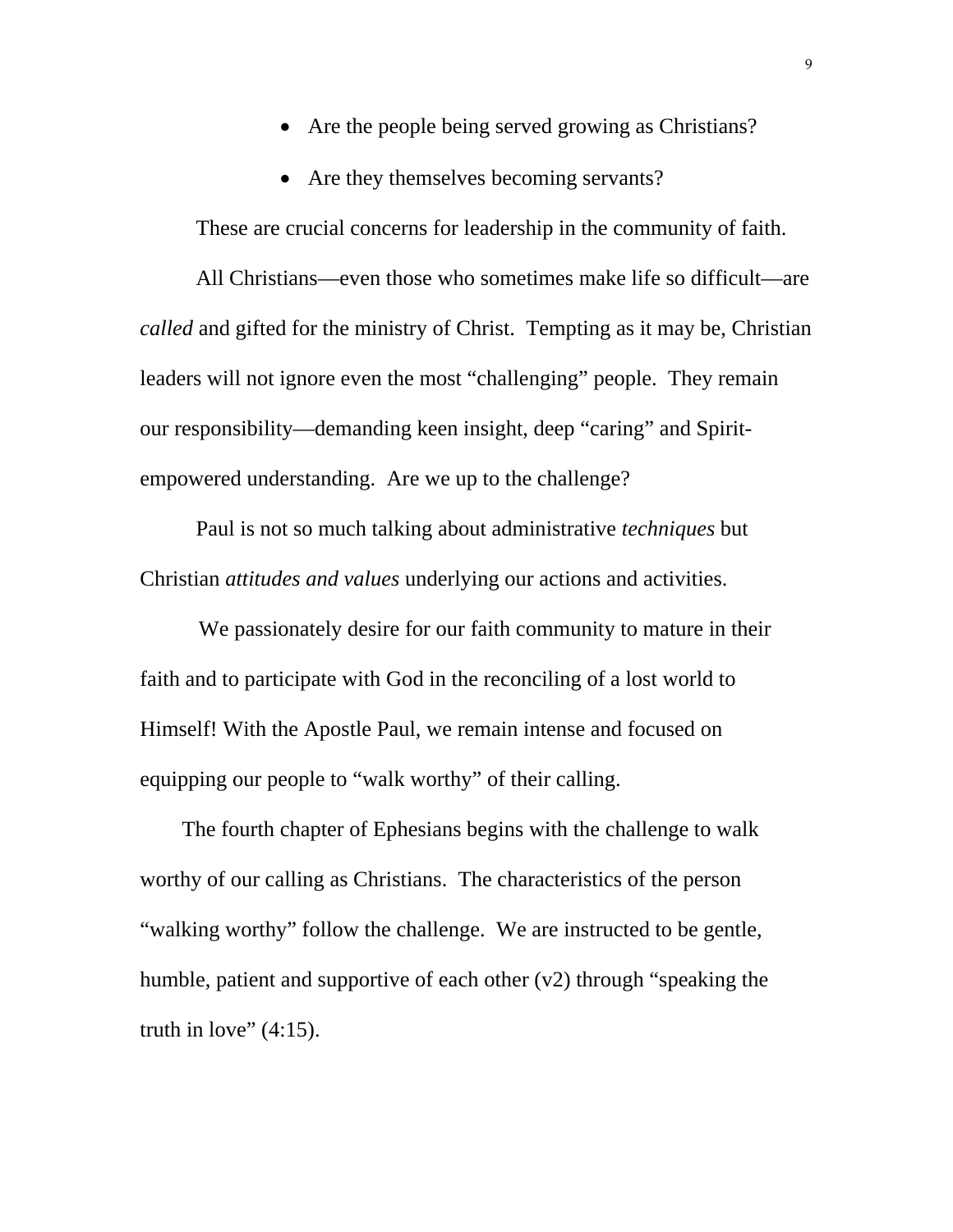- Are the people being served growing as Christians?
- Are they themselves becoming servants?

These are crucial concerns for leadership in the community of faith.

 All Christians—even those who sometimes make life so difficult—are *called* and gifted for the ministry of Christ. Tempting as it may be, Christian leaders will not ignore even the most "challenging" people. They remain our responsibility—demanding keen insight, deep "caring" and Spiritempowered understanding. Are we up to the challenge?

Paul is not so much talking about administrative *techniques* but Christian *attitudes and values* underlying our actions and activities.

 We passionately desire for our faith community to mature in their faith and to participate with God in the reconciling of a lost world to Himself! With the Apostle Paul, we remain intense and focused on equipping our people to "walk worthy" of their calling.

The fourth chapter of Ephesians begins with the challenge to walk worthy of our calling as Christians. The characteristics of the person "walking worthy" follow the challenge. We are instructed to be gentle, humble, patient and supportive of each other (v2) through "speaking the truth in love"  $(4:15)$ .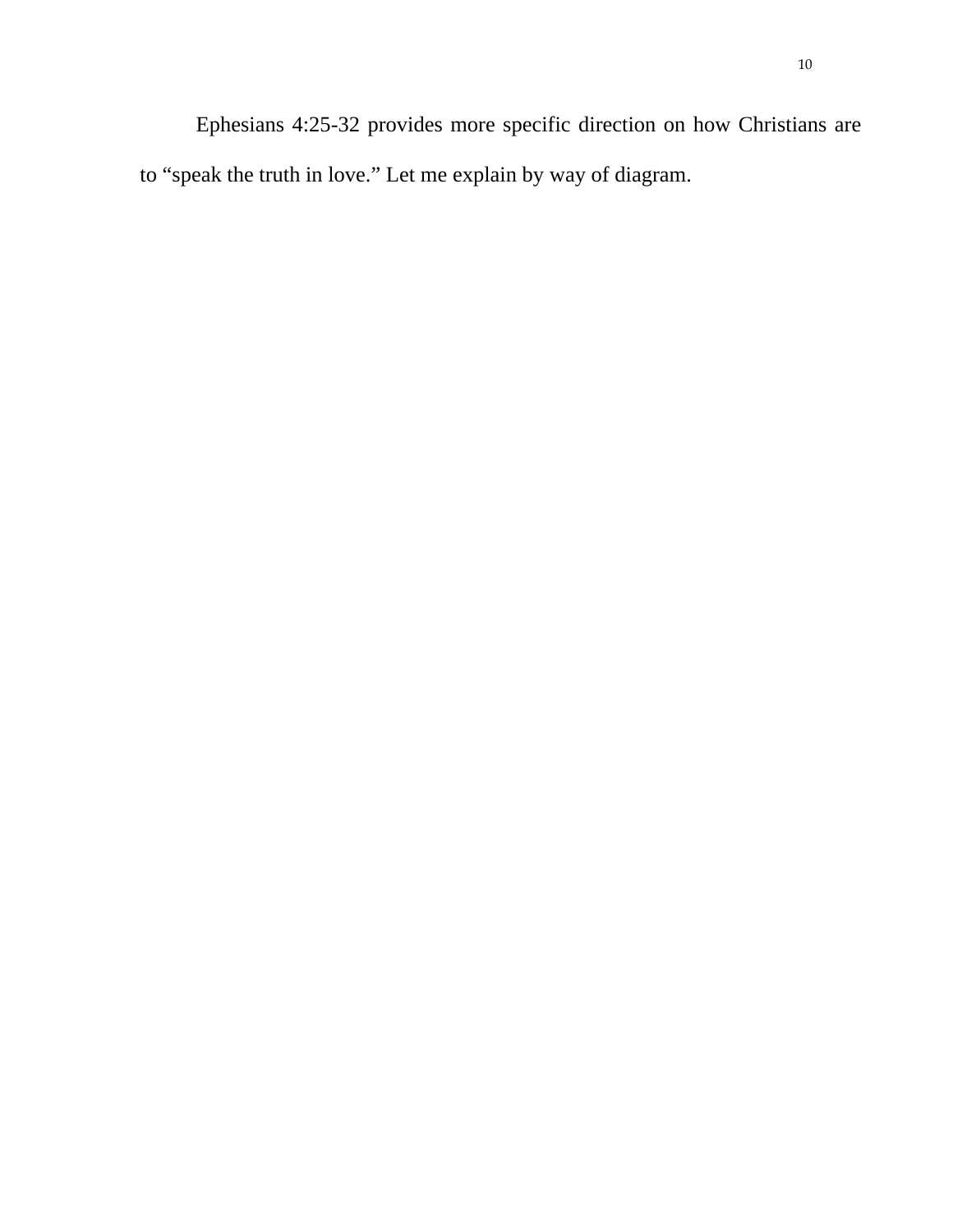Ephesians 4:25-32 provides more specific direction on how Christians are to "speak the truth in love." Let me explain by way of diagram.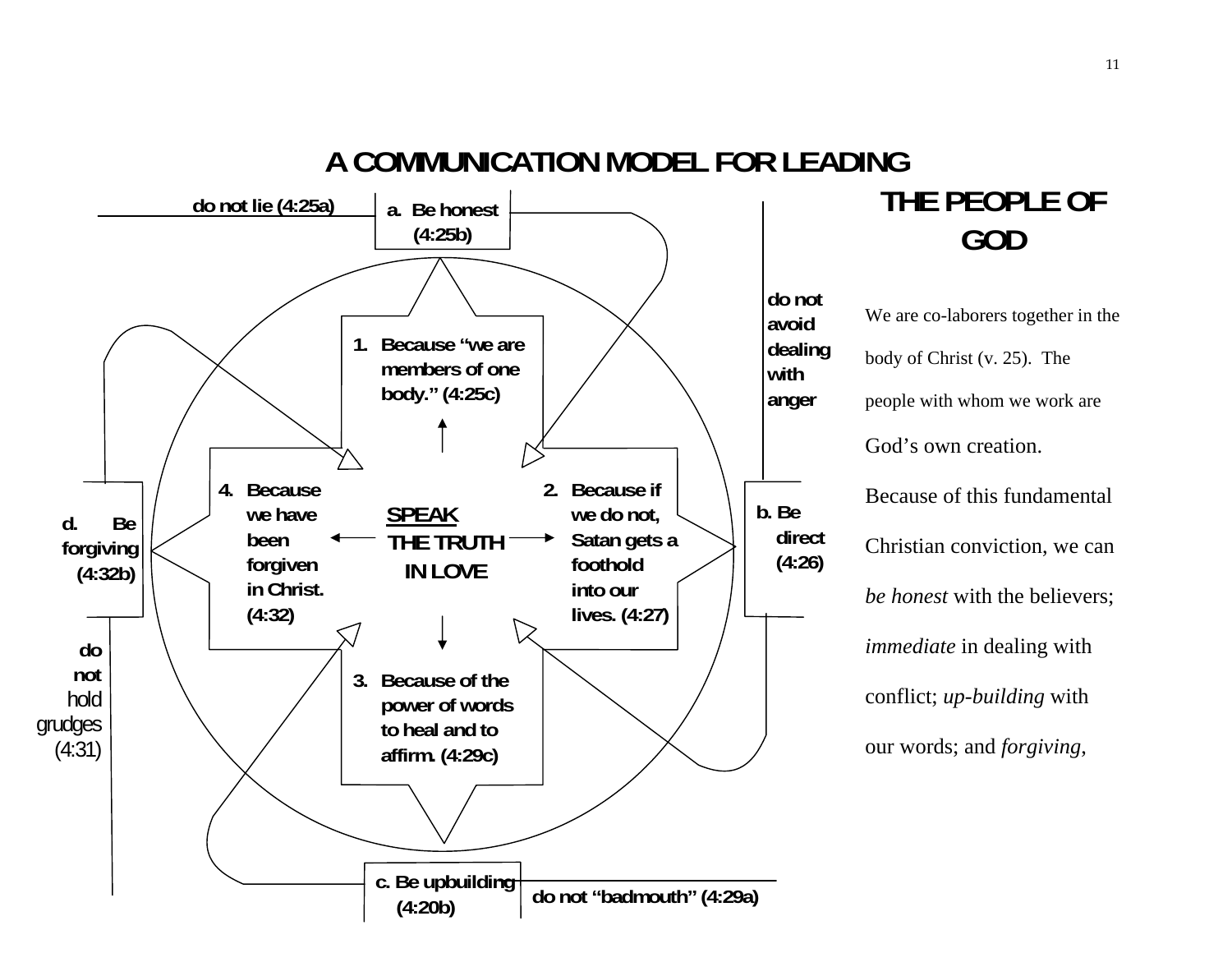

# **THE PEOPLE OF GOD**

We are co-laborers together in t he body of Christ (v. 25). The people with whom we work are God's own creation. Because of this fundamental Christian conviction, we can *be honest* with the believers; *immediate* in dealing with conflict; *up-building* with our words; and *forgiving*,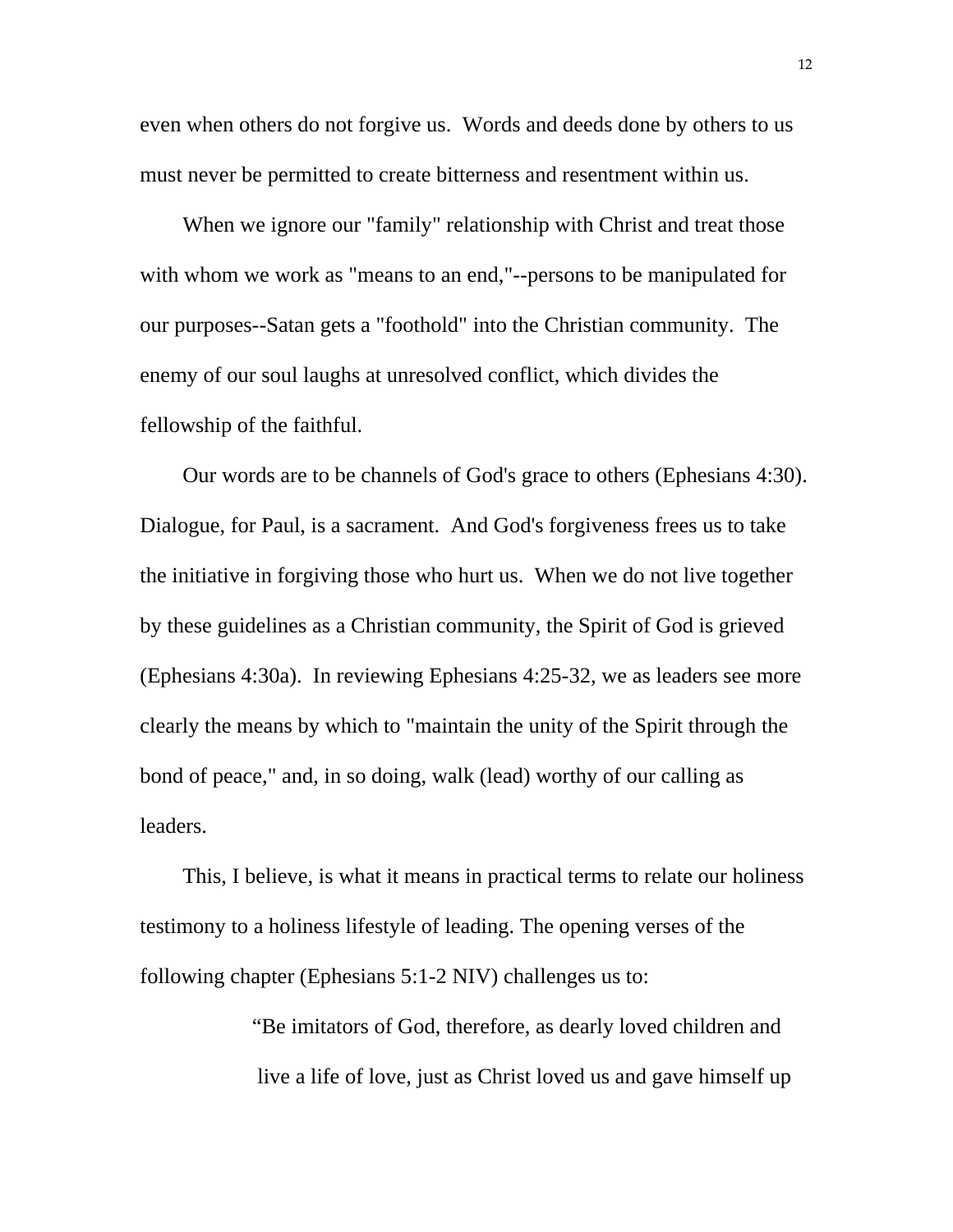even when others do not forgive us. Words and deeds done by others to us must never be permitted to create bitterness and resentment within us.

When we ignore our "family" relationship with Christ and treat those with whom we work as "means to an end,"--persons to be manipulated for our purposes--Satan gets a "foothold" into the Christian community. The enemy of our soul laughs at unresolved conflict, which divides the fellowship of the faithful.

Our words are to be channels of God's grace to others (Ephesians 4:30). Dialogue, for Paul, is a sacrament. And God's forgiveness frees us to take the initiative in forgiving those who hurt us. When we do not live together by these guidelines as a Christian community, the Spirit of God is grieved (Ephesians 4:30a). In reviewing Ephesians 4:25-32, we as leaders see more clearly the means by which to "maintain the unity of the Spirit through the bond of peace," and, in so doing, walk (lead) worthy of our calling as leaders.

This, I believe, is what it means in practical terms to relate our holiness testimony to a holiness lifestyle of leading. The opening verses of the following chapter (Ephesians 5:1-2 NIV) challenges us to:

> "Be imitators of God, therefore, as dearly loved children and live a life of love, just as Christ loved us and gave himself up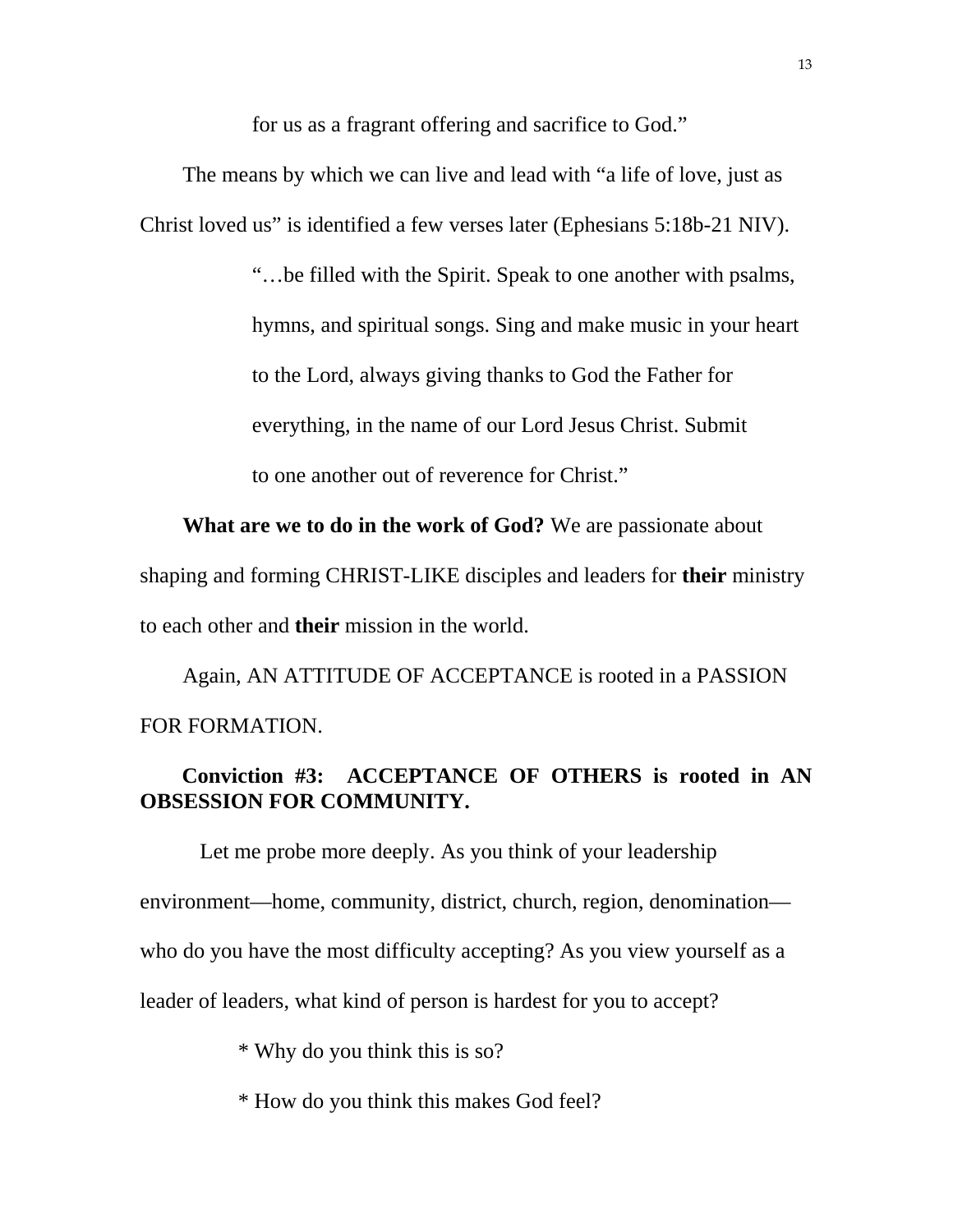for us as a fragrant offering and sacrifice to God."

The means by which we can live and lead with "a life of love, just as Christ loved us" is identified a few verses later (Ephesians 5:18b-21 NIV).

> "…be filled with the Spirit. Speak to one another with psalms, hymns, and spiritual songs. Sing and make music in your heart to the Lord, always giving thanks to God the Father for everything, in the name of our Lord Jesus Christ. Submit to one another out of reverence for Christ."

**What are we to do in the work of God?** We are passionate about shaping and forming CHRIST-LIKE disciples and leaders for **their** ministry to each other and **their** mission in the world.

Again, AN ATTITUDE OF ACCEPTANCE is rooted in a PASSION FOR FORMATION.

## **Conviction #3: ACCEPTANCE OF OTHERS is rooted in AN OBSESSION FOR COMMUNITY.**

 Let me probe more deeply. As you think of your leadership environment—home, community, district, church, region, denomination who do you have the most difficulty accepting? As you view yourself as a leader of leaders, what kind of person is hardest for you to accept?

\* Why do you think this is so?

\* How do you think this makes God feel?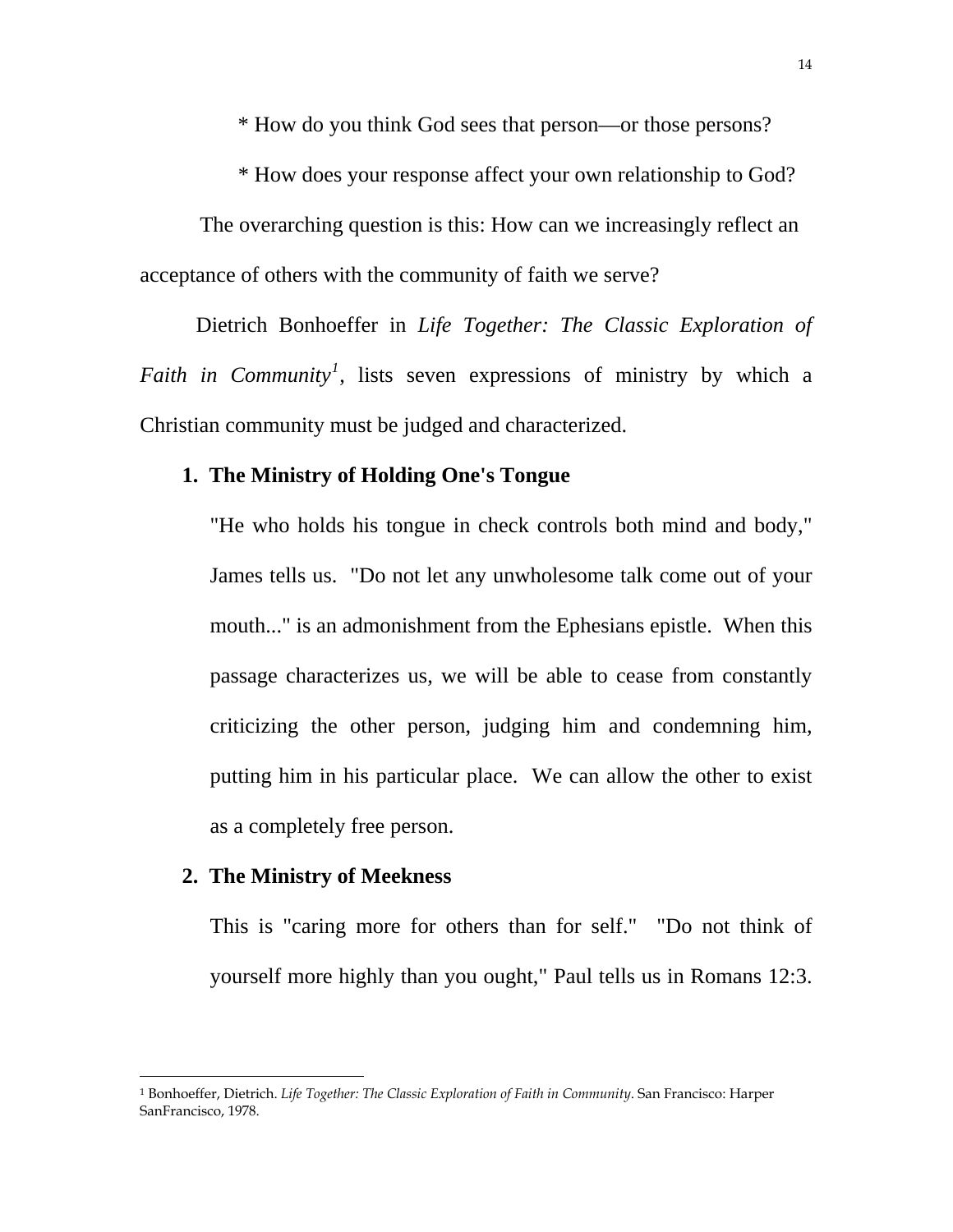\* How do you think God sees that person—or those persons?

\* How does your response affect your own relationship to God?

 The overarching question is this: How can we increasingly reflect an acceptance of others with the community of faith we serve?

Dietrich Bonhoeffer in *Life Together: The Classic Exploration of Faith in Community[1](#page-13-0)* , lists seven expressions of ministry by which a Christian community must be judged and characterized.

### **1. The Ministry of Holding One's Tongue**

"He who holds his tongue in check controls both mind and body," James tells us. "Do not let any unwholesome talk come out of your mouth..." is an admonishment from the Ephesians epistle. When this passage characterizes us, we will be able to cease from constantly criticizing the other person, judging him and condemning him, putting him in his particular place. We can allow the other to exist as a completely free person.

### **2. The Ministry of Meekness**

 $\overline{a}$ 

 This is "caring more for others than for self." "Do not think of yourself more highly than you ought," Paul tells us in Romans 12:3.

<span id="page-13-0"></span><sup>1</sup> Bonhoeffer, Dietrich. *Life Together: The Classic Exploration of Faith in Community*. San Francisco: Harper SanFrancisco, 1978.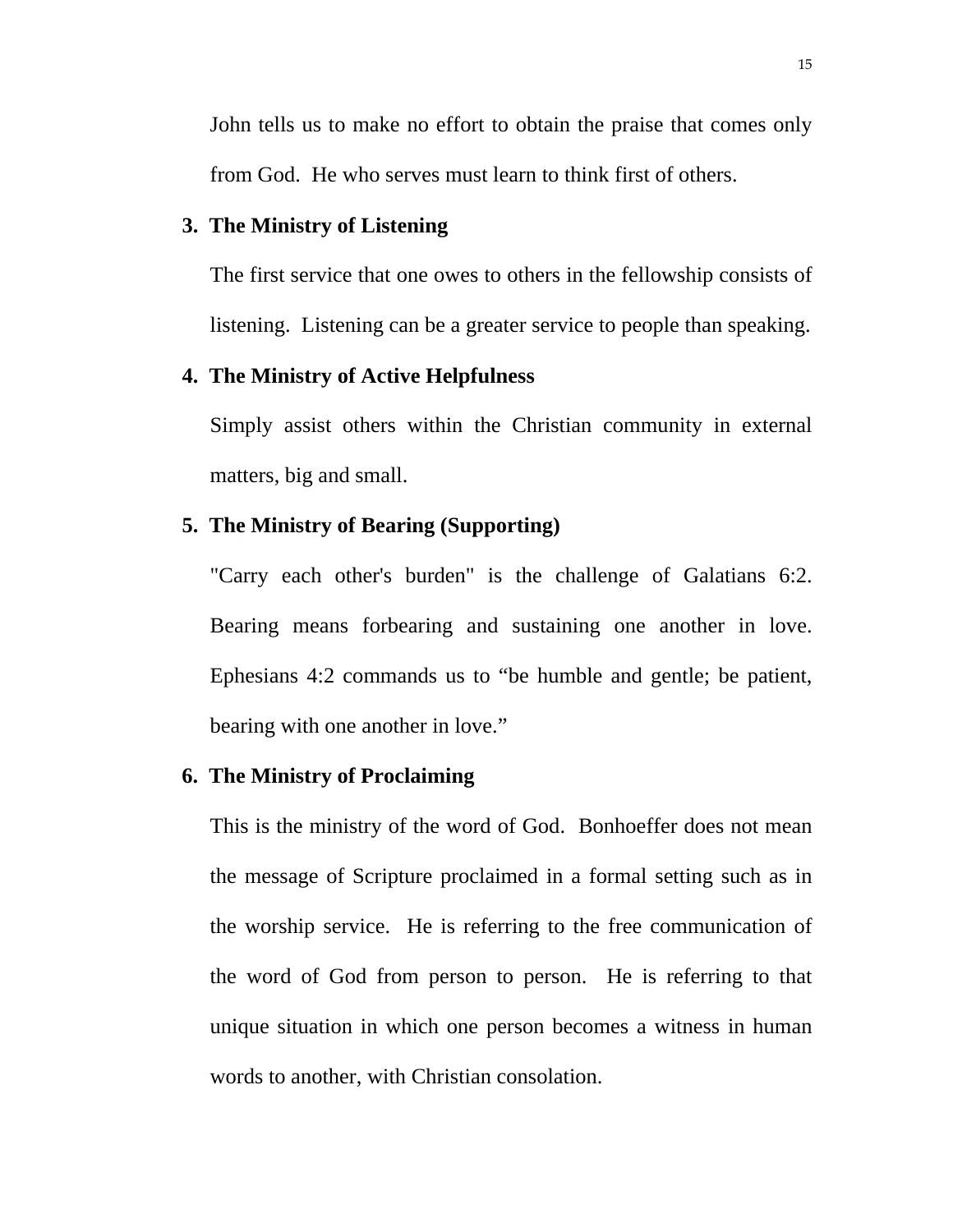John tells us to make no effort to obtain the praise that comes only from God. He who serves must learn to think first of others.

#### **3. The Ministry of Listening**

 The first service that one owes to others in the fellowship consists of listening. Listening can be a greater service to people than speaking.

#### **4. The Ministry of Active Helpfulness**

 Simply assist others within the Christian community in external matters, big and small.

### **5. The Ministry of Bearing (Supporting)**

 "Carry each other's burden" is the challenge of Galatians 6:2. Bearing means forbearing and sustaining one another in love. Ephesians 4:2 commands us to "be humble and gentle; be patient, bearing with one another in love."

#### **6. The Ministry of Proclaiming**

 This is the ministry of the word of God. Bonhoeffer does not mean the message of Scripture proclaimed in a formal setting such as in the worship service. He is referring to the free communication of the word of God from person to person. He is referring to that unique situation in which one person becomes a witness in human words to another, with Christian consolation.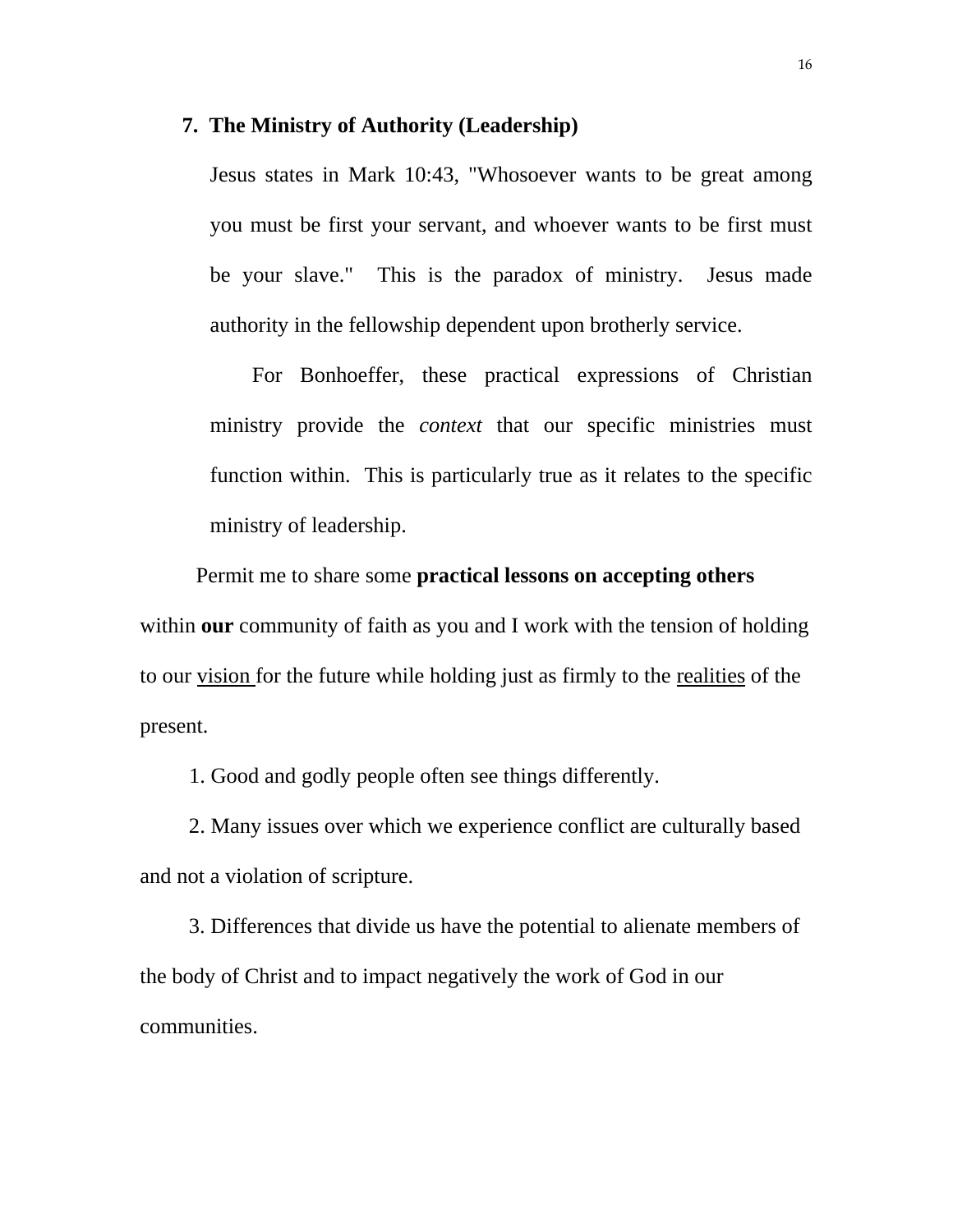#### **7. The Ministry of Authority (Leadership)**

 Jesus states in Mark 10:43, "Whosoever wants to be great among you must be first your servant, and whoever wants to be first must be your slave." This is the paradox of ministry. Jesus made authority in the fellowship dependent upon brotherly service.

 For Bonhoeffer, these practical expressions of Christian ministry provide the *context* that our specific ministries must function within. This is particularly true as it relates to the specific ministry of leadership.

 Permit me to share some **practical lessons on accepting others** within **our** community of faith as you and I work with the tension of holding to our vision for the future while holding just as firmly to the realities of the present.

1. Good and godly people often see things differently.

 2. Many issues over which we experience conflict are culturally based and not a violation of scripture.

 3. Differences that divide us have the potential to alienate members of the body of Christ and to impact negatively the work of God in our communities.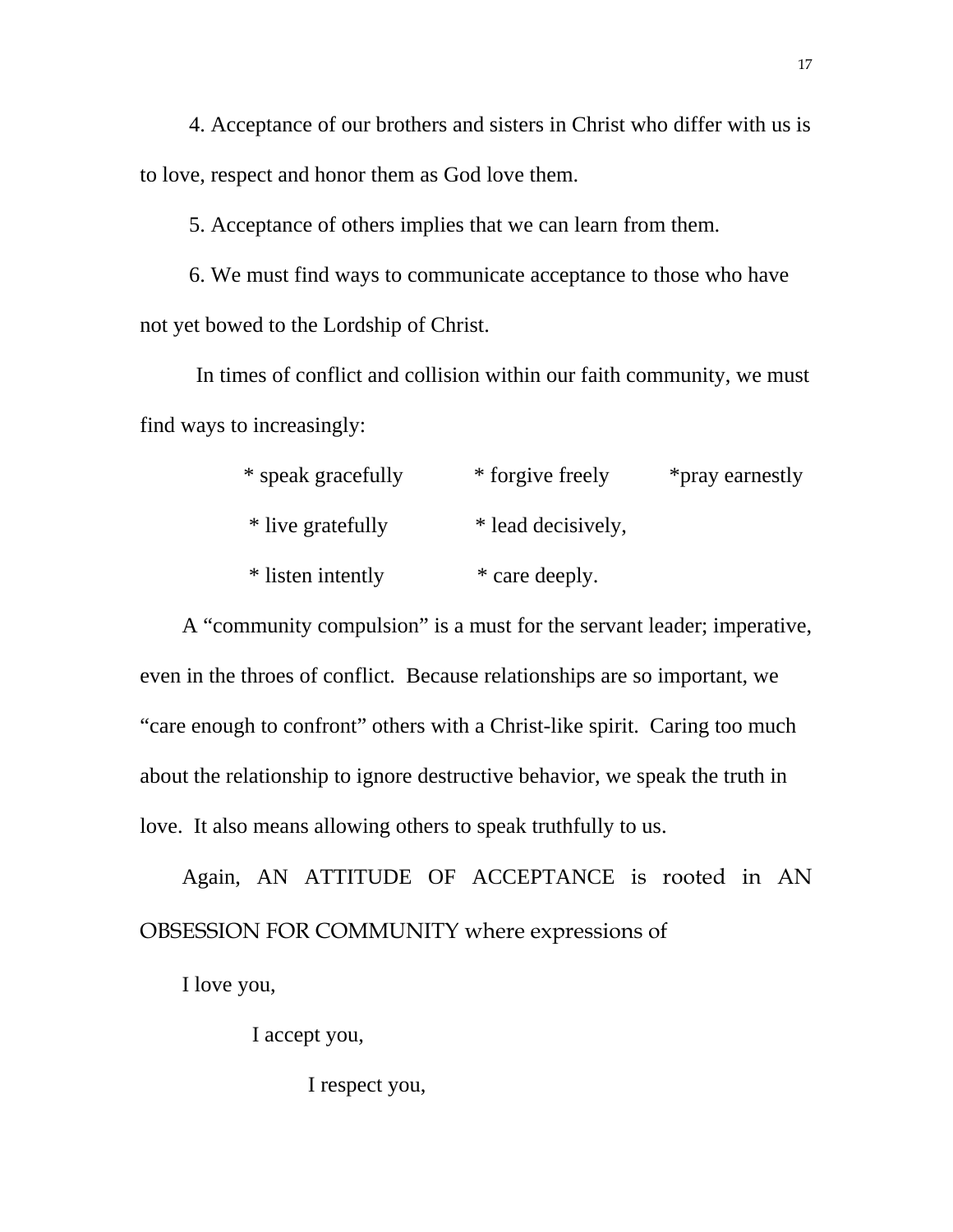4. Acceptance of our brothers and sisters in Christ who differ with us is to love, respect and honor them as God love them.

5. Acceptance of others implies that we can learn from them.

 6. We must find ways to communicate acceptance to those who have not yet bowed to the Lordship of Christ.

In times of conflict and collision within our faith community, we must find ways to increasingly:

| * speak gracefully | * forgive freely   | *pray earnestly |
|--------------------|--------------------|-----------------|
| * live gratefully  | * lead decisively, |                 |
| * listen intently  | * care deeply.     |                 |

A "community compulsion" is a must for the servant leader; imperative, even in the throes of conflict. Because relationships are so important, we "care enough to confront" others with a Christ-like spirit. Caring too much about the relationship to ignore destructive behavior, we speak the truth in love. It also means allowing others to speak truthfully to us.

Again, AN ATTITUDE OF ACCEPTANCE is rooted in AN OBSESSION FOR COMMUNITY where expressions of

I love you,

I accept you,

I respect you,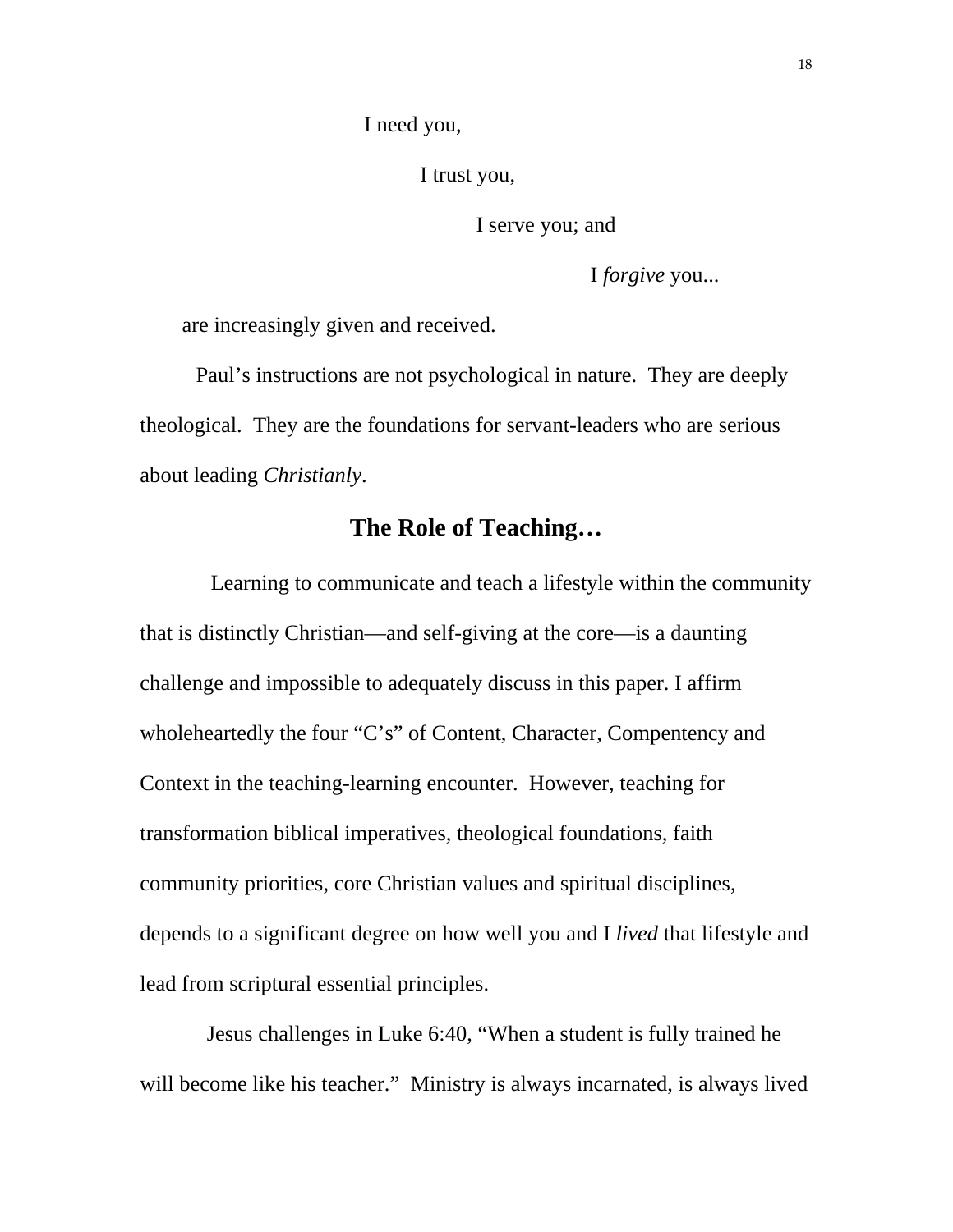I need you,

I trust you,

I serve you; and

I *forgive* you...

are increasingly given and received.

 Paul's instructions are not psychological in nature. They are deeply theological. They are the foundations for servant-leaders who are serious about leading *Christianly*.

## **The Role of Teaching…**

 Learning to communicate and teach a lifestyle within the community that is distinctly Christian—and self-giving at the core—is a daunting challenge and impossible to adequately discuss in this paper. I affirm wholeheartedly the four "C's" of Content, Character, Compentency and Context in the teaching-learning encounter. However, teaching for transformation biblical imperatives, theological foundations, faith community priorities, core Christian values and spiritual disciplines, depends to a significant degree on how well you and I *lived* that lifestyle and lead from scriptural essential principles.

 Jesus challenges in Luke 6:40, "When a student is fully trained he will become like his teacher." Ministry is always incarnated, is always lived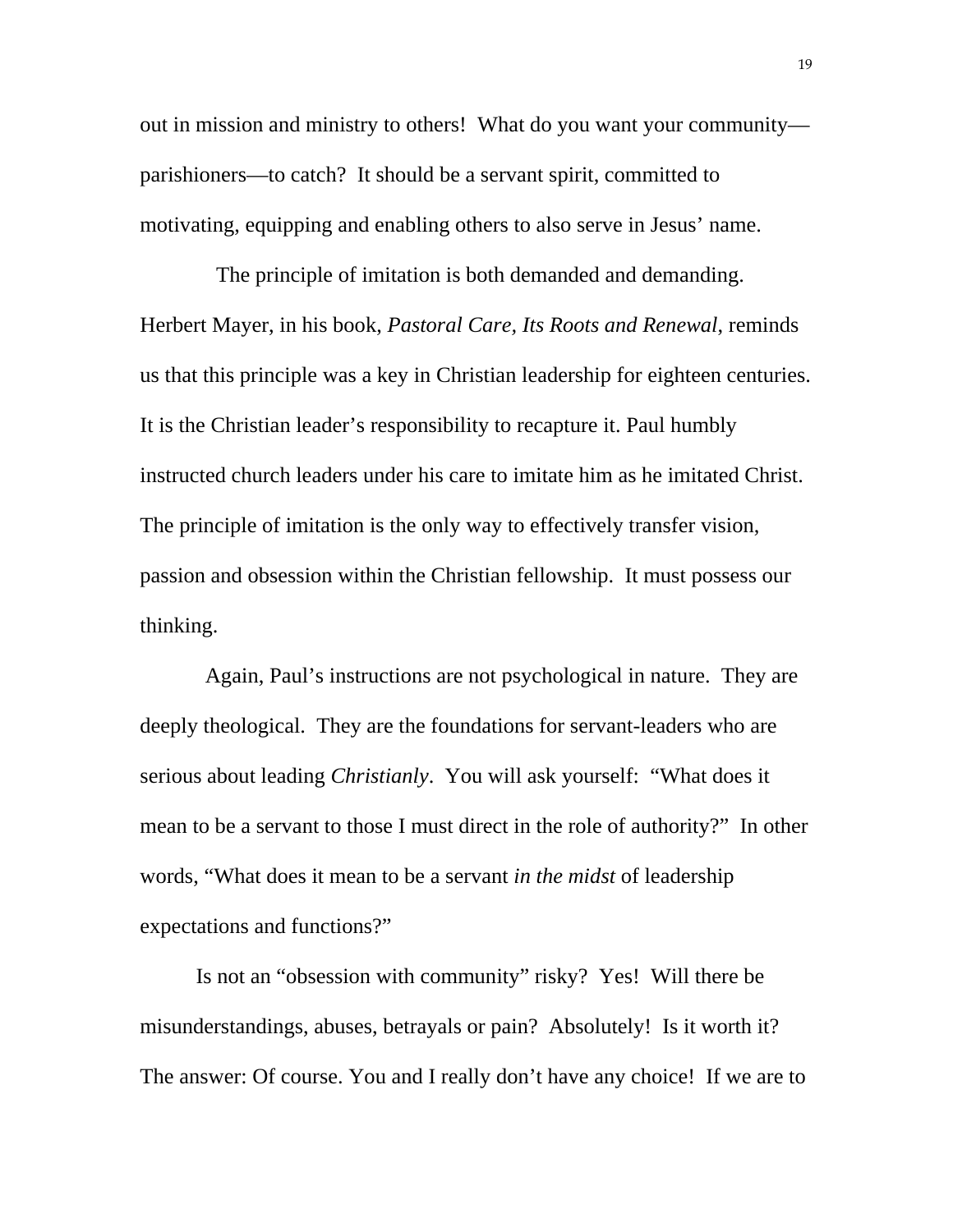out in mission and ministry to others! What do you want your community parishioners—to catch? It should be a servant spirit, committed to motivating, equipping and enabling others to also serve in Jesus' name.

 The principle of imitation is both demanded and demanding. Herbert Mayer, in his book, *Pastoral Care, Its Roots and Renewal*, reminds us that this principle was a key in Christian leadership for eighteen centuries. It is the Christian leader's responsibility to recapture it. Paul humbly instructed church leaders under his care to imitate him as he imitated Christ. The principle of imitation is the only way to effectively transfer vision, passion and obsession within the Christian fellowship. It must possess our thinking.

 Again, Paul's instructions are not psychological in nature. They are deeply theological. They are the foundations for servant-leaders who are serious about leading *Christianly*. You will ask yourself: "What does it mean to be a servant to those I must direct in the role of authority?" In other words, "What does it mean to be a servant *in the midst* of leadership expectations and functions?"

 Is not an "obsession with community" risky? Yes! Will there be misunderstandings, abuses, betrayals or pain? Absolutely! Is it worth it? The answer: Of course. You and I really don't have any choice! If we are to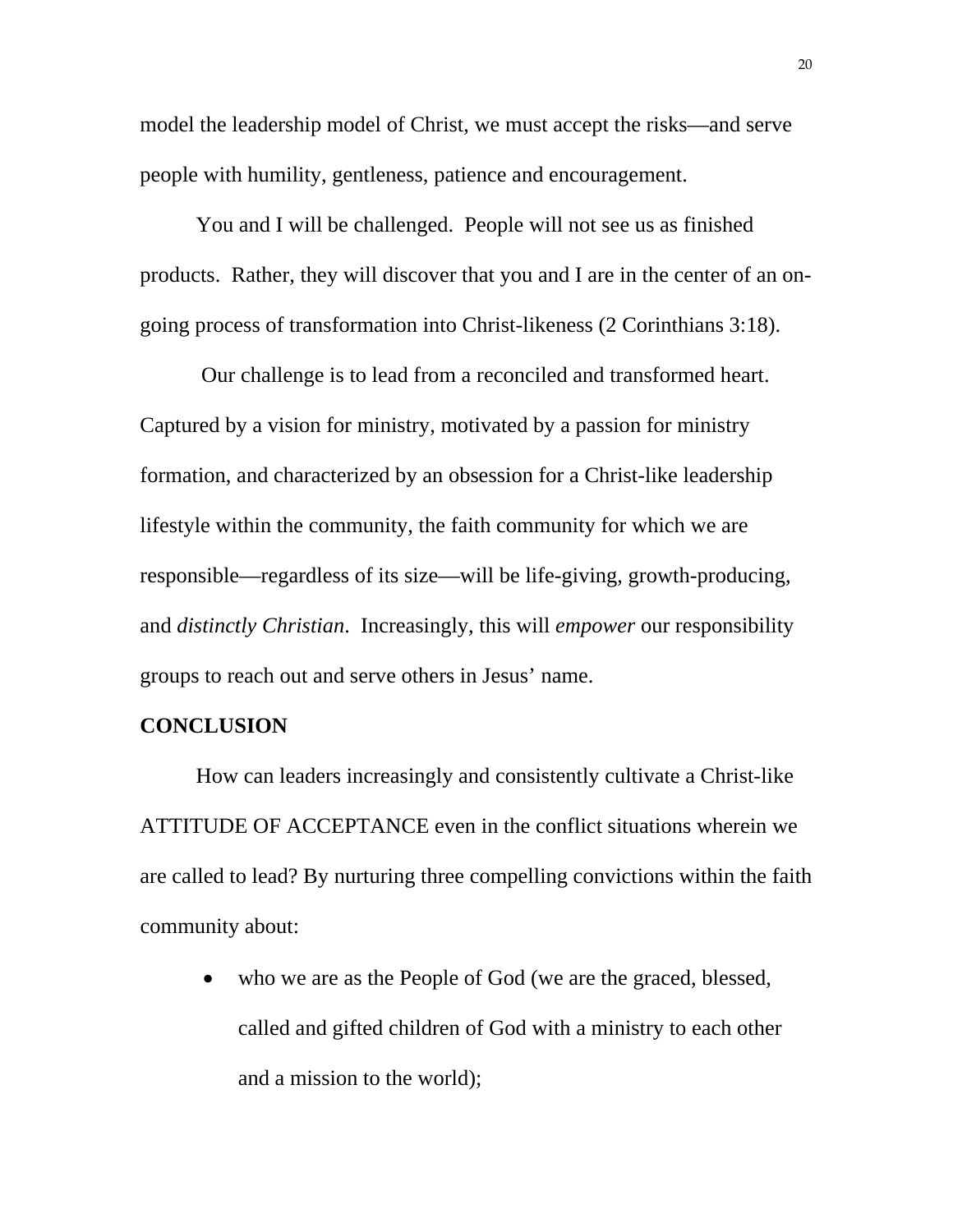model the leadership model of Christ, we must accept the risks—and serve people with humility, gentleness, patience and encouragement.

 You and I will be challenged. People will not see us as finished products. Rather, they will discover that you and I are in the center of an ongoing process of transformation into Christ-likeness (2 Corinthians 3:18).

 Our challenge is to lead from a reconciled and transformed heart. Captured by a vision for ministry, motivated by a passion for ministry formation, and characterized by an obsession for a Christ-like leadership lifestyle within the community, the faith community for which we are responsible—regardless of its size—will be life-giving, growth-producing, and *distinctly Christian*. Increasingly, this will *empower* our responsibility groups to reach out and serve others in Jesus' name.

#### **CONCLUSION**

How can leaders increasingly and consistently cultivate a Christ-like ATTITUDE OF ACCEPTANCE even in the conflict situations wherein we are called to lead? By nurturing three compelling convictions within the faith community about:

• who we are as the People of God (we are the graced, blessed, called and gifted children of God with a ministry to each other and a mission to the world);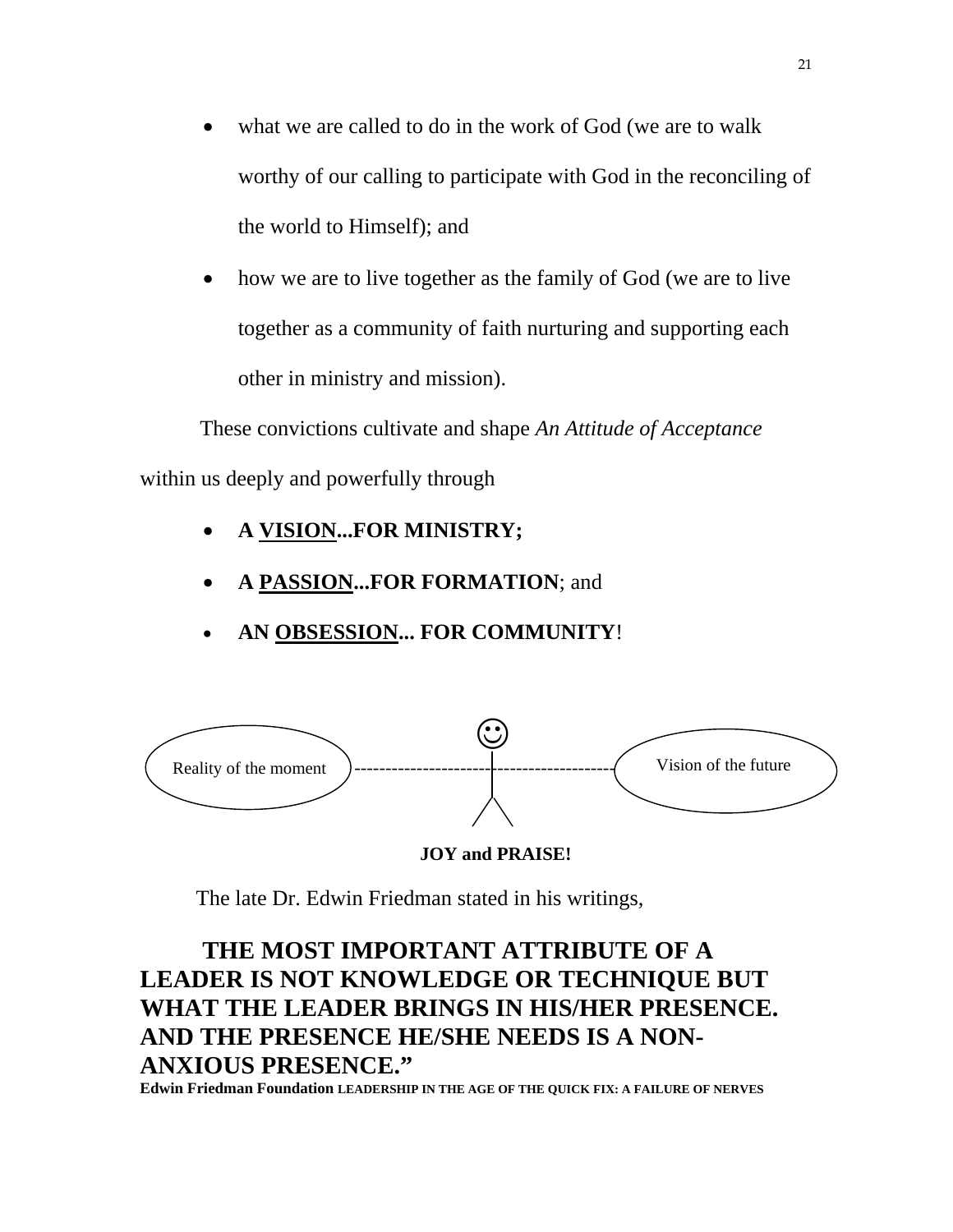- what we are called to do in the work of God (we are to walk worthy of our calling to participate with God in the reconciling of the world to Himself); and
- how we are to live together as the family of God (we are to live together as a community of faith nurturing and supporting each other in ministry and mission).

 These convictions cultivate and shape *An Attitude of Acceptance*  within us deeply and powerfully through

- **A VISION...FOR MINISTRY;**
- **A PASSION...FOR FORMATION**; and
- **AN OBSESSION... FOR COMMUNITY**!



## **JOY and PRAISE!**

The late Dr. Edwin Friedman stated in his writings,

## **THE MOST IMPORTANT ATTRIBUTE OF A LEADER IS NOT KNOWLEDGE OR TECHNIQUE BUT WHAT THE LEADER BRINGS IN HIS/HER PRESENCE. AND THE PRESENCE HE/SHE NEEDS IS A NON-ANXIOUS PRESENCE."**

**Edwin Friedman Foundation LEADERSHIP IN THE AGE OF THE QUICK FIX: A FAILURE OF NERVES**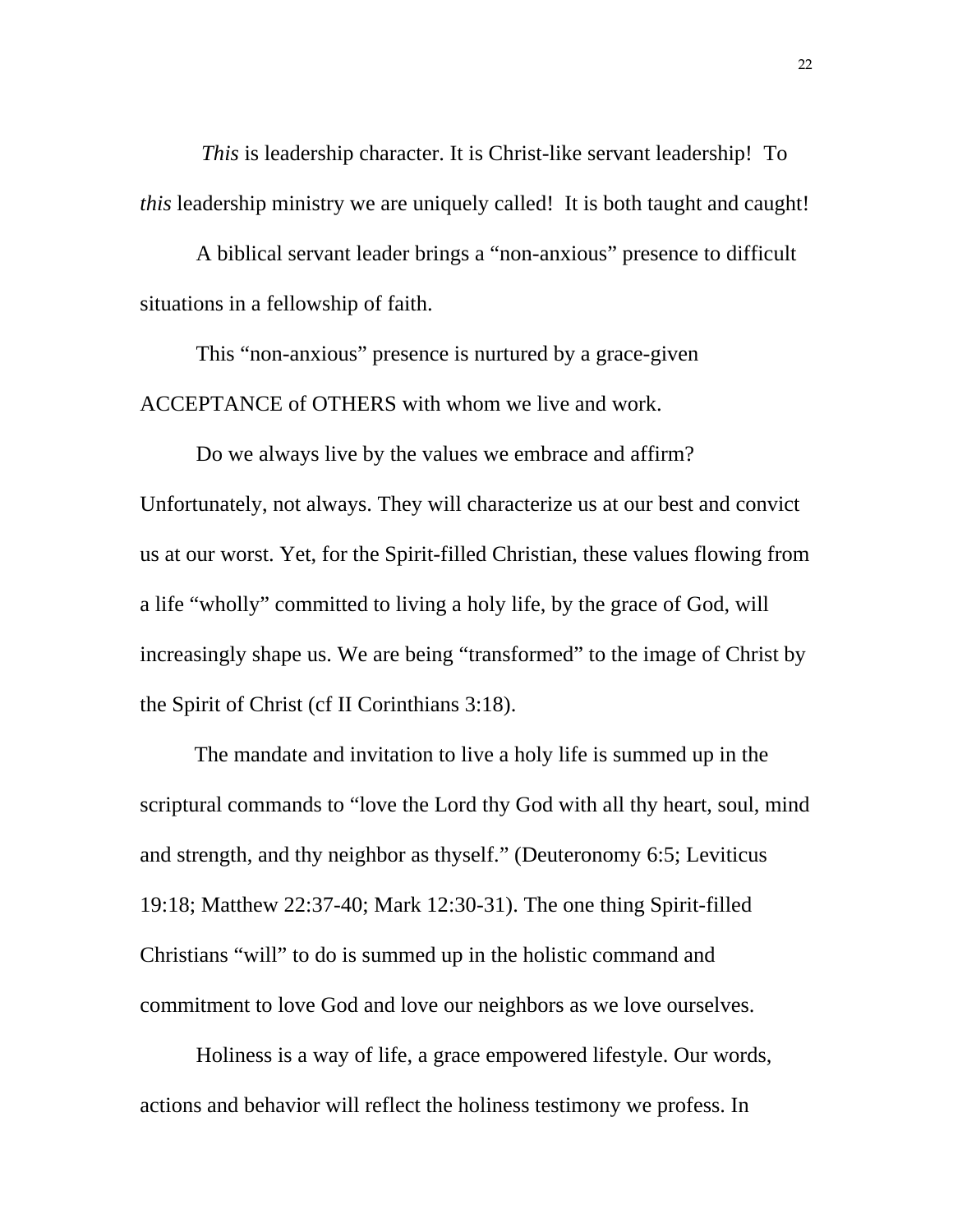*This* is leadership character. It is Christ-like servant leadership! To *this* leadership ministry we are uniquely called! It is both taught and caught!

 A biblical servant leader brings a "non-anxious" presence to difficult situations in a fellowship of faith.

 This "non-anxious" presence is nurtured by a grace-given ACCEPTANCE of OTHERS with whom we live and work.

Do we always live by the values we embrace and affirm? Unfortunately, not always. They will characterize us at our best and convict us at our worst. Yet, for the Spirit-filled Christian, these values flowing from a life "wholly" committed to living a holy life, by the grace of God, will increasingly shape us. We are being "transformed" to the image of Christ by the Spirit of Christ (cf II Corinthians 3:18).

 The mandate and invitation to live a holy life is summed up in the scriptural commands to "love the Lord thy God with all thy heart, soul, mind and strength, and thy neighbor as thyself." (Deuteronomy 6:5; Leviticus 19:18; Matthew 22:37-40; Mark 12:30-31). The one thing Spirit-filled Christians "will" to do is summed up in the holistic command and commitment to love God and love our neighbors as we love ourselves.

Holiness is a way of life, a grace empowered lifestyle. Our words, actions and behavior will reflect the holiness testimony we profess. In